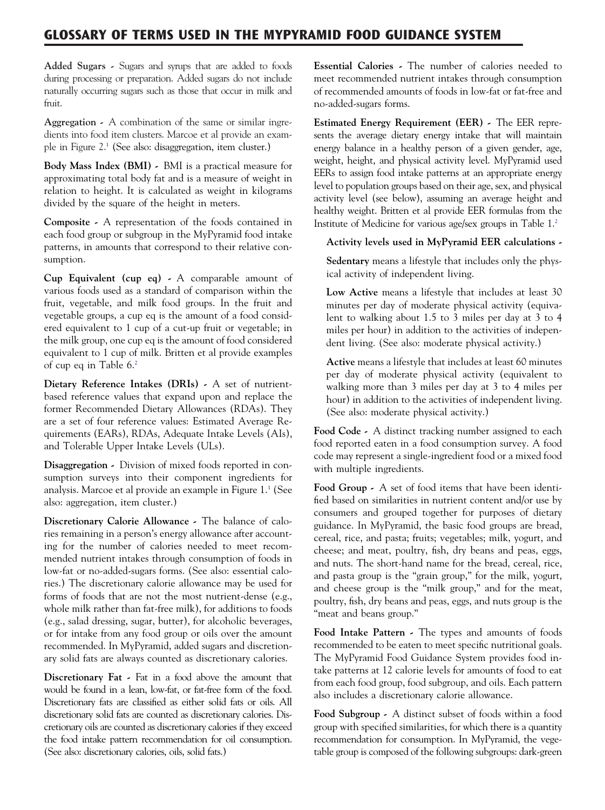## **GLOSSARY OF TERMS USED IN THE MYPYRAMID FOOD GUIDANCE SYSTEM**

**Added Sugars -** Sugars and syrups that are added to foods during processing or preparation. Added sugars do not include naturally occurring sugars such as those that occur in milk and fruit.

**Aggregation -** A combination of the same or similar ingredients into food item clusters. Marcoe et al provide an example in Figure 2[.1](#page-1-0) (See also: disaggregation, item cluster.)

**Body Mass Index (BMI) -** BMI is a practical measure for approximating total body fat and is a measure of weight in relation to height. It is calculated as weight in kilograms divided by the square of the height in meters.

**Composite -** A representation of the foods contained in each food group or subgroup in the MyPyramid food intake patterns, in amounts that correspond to their relative consumption.

**Cup Equivalent (cup eq) -** A comparable amount of various foods used as a standard of comparison within the fruit, vegetable, and milk food groups. In the fruit and vegetable groups, a cup eq is the amount of a food considered equivalent to 1 cup of a cut-up fruit or vegetable; in the milk group, one cup eq is the amount of food considered equivalent to 1 cup of milk. Britten et al provide examples of cup eq in Table 6[.2](#page-1-0)

**Dietary Reference Intakes (DRIs) -** A set of nutrientbased reference values that expand upon and replace the former Recommended Dietary Allowances (RDAs). They are a set of four reference values: Estimated Average Requirements (EARs), RDAs, Adequate Intake Levels (AIs), and Tolerable Upper Intake Levels (ULs).

**Disaggregation -** Division of mixed foods reported in consumption surveys into their component ingredients for analysis. Marcoe et al provide an example in Figure 1[.1](#page-1-0) (See also: aggregation, item cluster.)

**Discretionary Calorie Allowance -** The balance of calories remaining in a person's energy allowance after accounting for the number of calories needed to meet recommended nutrient intakes through consumption of foods in low-fat or no-added-sugars forms. (See also: essential calories.) The discretionary calorie allowance may be used for forms of foods that are not the most nutrient-dense (e.g., whole milk rather than fat-free milk), for additions to foods (e.g., salad dressing, sugar, butter), for alcoholic beverages, or for intake from any food group or oils over the amount recommended. In MyPyramid, added sugars and discretionary solid fats are always counted as discretionary calories.

**Discretionary Fat -** Fat in a food above the amount that would be found in a lean, low-fat, or fat-free form of the food. Discretionary fats are classified as either solid fats or oils. All discretionary solid fats are counted as discretionary calories. Discretionary oils are counted as discretionary calories if they exceed the food intake pattern recommendation for oil consumption. (See also: discretionary calories, oils, solid fats.)

**Essential Calories -** The number of calories needed to meet recommended nutrient intakes through consumption of recommended amounts of foods in low-fat or fat-free and no-added-sugars forms.

**Estimated Energy Requirement (EER) -** The EER represents the average dietary energy intake that will maintain energy balance in a healthy person of a given gender, age, weight, height, and physical activity level. MyPyramid used EERs to assign food intake patterns at an appropriate energy level to population groups based on their age, sex, and physical activity level (see below), assuming an average height and healthy weight. Britten et al provide EER formulas from the Institute of Medicine for various age/sex groups in Table 1[.2](#page-1-0)

**Activity levels used in MyPyramid EER calculations -**

**Sedentary** means a lifestyle that includes only the physical activity of independent living.

**Low Active** means a lifestyle that includes at least 30 minutes per day of moderate physical activity (equivalent to walking about 1.5 to 3 miles per day at 3 to 4 miles per hour) in addition to the activities of independent living. (See also: moderate physical activity.)

**Active** means a lifestyle that includes at least 60 minutes per day of moderate physical activity (equivalent to walking more than 3 miles per day at 3 to 4 miles per hour) in addition to the activities of independent living. (See also: moderate physical activity.)

**Food Code -** A distinct tracking number assigned to each food reported eaten in a food consumption survey. A food code may represent a single-ingredient food or a mixed food with multiple ingredients.

**Food Group -** A set of food items that have been identified based on similarities in nutrient content and/or use by consumers and grouped together for purposes of dietary guidance. In MyPyramid, the basic food groups are bread, cereal, rice, and pasta; fruits; vegetables; milk, yogurt, and cheese; and meat, poultry, fish, dry beans and peas, eggs, and nuts. The short-hand name for the bread, cereal, rice, and pasta group is the "grain group," for the milk, yogurt, and cheese group is the "milk group," and for the meat, poultry, fish, dry beans and peas, eggs, and nuts group is the "meat and beans group."

**Food Intake Pattern -** The types and amounts of foods recommended to be eaten to meet specific nutritional goals. The MyPyramid Food Guidance System provides food intake patterns at 12 calorie levels for amounts of food to eat from each food group, food subgroup, and oils. Each pattern also includes a discretionary calorie allowance.

**Food Subgroup -** A distinct subset of foods within a food group with specified similarities, for which there is a quantity recommendation for consumption. In MyPyramid, the vegetable group is composed of the following subgroups: dark-green